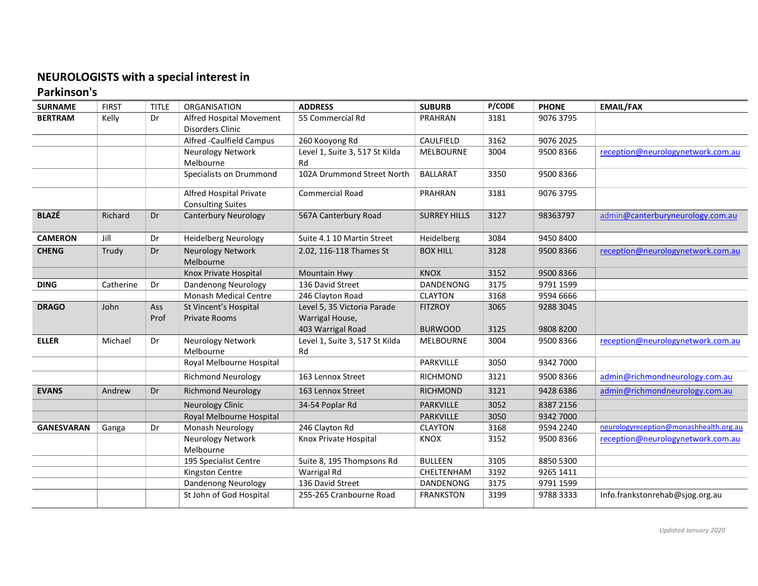## NEUROLOGISTS with a special interest in

## Parkinson's

| <b>SURNAME</b>    | <b>FIRST</b> | <b>TITLE</b>       | ORGANISATION                                        | <b>ADDRESS</b>                                                      | <b>SUBURB</b>                    | <b>P/CODE</b> | <b>PHONE</b>           | <b>EMAIL/FAX</b>                       |
|-------------------|--------------|--------------------|-----------------------------------------------------|---------------------------------------------------------------------|----------------------------------|---------------|------------------------|----------------------------------------|
| <b>BERTRAM</b>    | Kelly        | Dr                 | Alfred Hospital Movement<br>Disorders Clinic        | 55 Commercial Rd                                                    | PRAHRAN                          | 3181          | 9076 3795              |                                        |
|                   |              |                    | Alfred -Caulfield Campus                            | 260 Kooyong Rd                                                      | CAULFIELD                        | 3162          | 9076 2025              |                                        |
|                   |              |                    | Neurology Network<br>Melbourne                      | Level 1, Suite 3, 517 St Kilda<br>Rd                                | <b>MELBOURNE</b>                 | 3004          | 9500 8366              | reception@neurologynetwork.com.au      |
|                   |              |                    | Specialists on Drummond                             | 102A Drummond Street North                                          | <b>BALLARAT</b>                  | 3350          | 9500 8366              |                                        |
|                   |              |                    | Alfred Hospital Private<br><b>Consulting Suites</b> | <b>Commercial Road</b>                                              | PRAHRAN                          | 3181          | 9076 3795              |                                        |
| <b>BLAZÉ</b>      | Richard      | Dr                 | <b>Canterbury Neurology</b>                         | 567A Canterbury Road                                                | <b>SURREY HILLS</b>              | 3127          | 98363797               | admin@canterburyneurology.com.au       |
| <b>CAMERON</b>    | Jill         | Dr                 | <b>Heidelberg Neurology</b>                         | Suite 4.1 10 Martin Street                                          | <b>Heidelberg</b>                | 3084          | 9450 8400              |                                        |
| <b>CHENG</b>      | Trudy        | Dr                 | Neurology Network<br>Melbourne                      | 2.02, 116-118 Thames St                                             | <b>BOX HILL</b>                  | 3128          | 9500 8366              | reception@neurologynetwork.com.au      |
|                   |              |                    | Knox Private Hospital                               | Mountain Hwy                                                        | <b>KNOX</b>                      | 3152          | 9500 8366              |                                        |
| <b>DING</b>       | Catherine    | Dr                 | Dandenong Neurology                                 | 136 David Street                                                    | <b>DANDENONG</b>                 | 3175          | 9791 1599              |                                        |
|                   |              |                    | Monash Medical Centre                               | 246 Clayton Road                                                    | <b>CLAYTON</b>                   | 3168          | 9594 6666              |                                        |
| <b>DRAGO</b>      | John         | <b>Ass</b><br>Prof | St Vincent's Hospital<br><b>Private Rooms</b>       | Level 5, 35 Victoria Parade<br>Warrigal House,<br>403 Warrigal Road | <b>FITZROY</b><br><b>BURWOOD</b> | 3065<br>3125  | 9288 3045<br>9808 8200 |                                        |
| <b>ELLER</b>      | Michael      | Dr                 | Neurology Network<br>Melbourne                      | Level 1, Suite 3, 517 St Kilda<br>Rd                                | <b>MELBOURNE</b>                 | 3004          | 9500 8366              | reception@neurologynetwork.com.au      |
|                   |              |                    | Royal Melbourne Hospital                            |                                                                     | PARKVILLE                        | 3050          | 9342 7000              |                                        |
|                   |              |                    | <b>Richmond Neurology</b>                           | 163 Lennox Street                                                   | <b>RICHMOND</b>                  | 3121          | 9500 8366              | admin@richmondneurology.com.au         |
| <b>EVANS</b>      | Andrew       | Dr                 | <b>Richmond Neurology</b>                           | 163 Lennox Street                                                   | <b>RICHMOND</b>                  | 3121          | 9428 6386              | admin@richmondneurology.com.au         |
|                   |              |                    | <b>Neurology Clinic</b>                             | 34-54 Poplar Rd                                                     | <b>PARKVILLE</b>                 | 3052          | 8387 2156              |                                        |
|                   |              |                    | Royal Melbourne Hospital                            |                                                                     | PARKVILLE                        | 3050          | 9342 7000              |                                        |
| <b>GANESVARAN</b> | Ganga        | Dr                 | Monash Neurology                                    | 246 Clayton Rd                                                      | <b>CLAYTON</b>                   | 3168          | 9594 2240              | neurologyreception@monashhealth.org.au |
|                   |              |                    | Neurology Network<br>Melbourne                      | Knox Private Hospital                                               | <b>KNOX</b>                      | 3152          | 9500 8366              | reception@neurologynetwork.com.au      |
|                   |              |                    | 195 Specialist Centre                               | Suite 8, 195 Thompsons Rd                                           | <b>BULLEEN</b>                   | 3105          | 8850 5300              |                                        |
|                   |              |                    | Kingston Centre                                     | Warrigal Rd                                                         | CHELTENHAM                       | 3192          | 9265 1411              |                                        |
|                   |              |                    | <b>Dandenong Neurology</b>                          | 136 David Street                                                    | DANDENONG                        | 3175          | 9791 1599              |                                        |
|                   |              |                    | St John of God Hospital                             | 255-265 Cranbourne Road                                             | <b>FRANKSTON</b>                 | 3199          | 9788 3333              | Info.frankstonrehab@sjog.org.au        |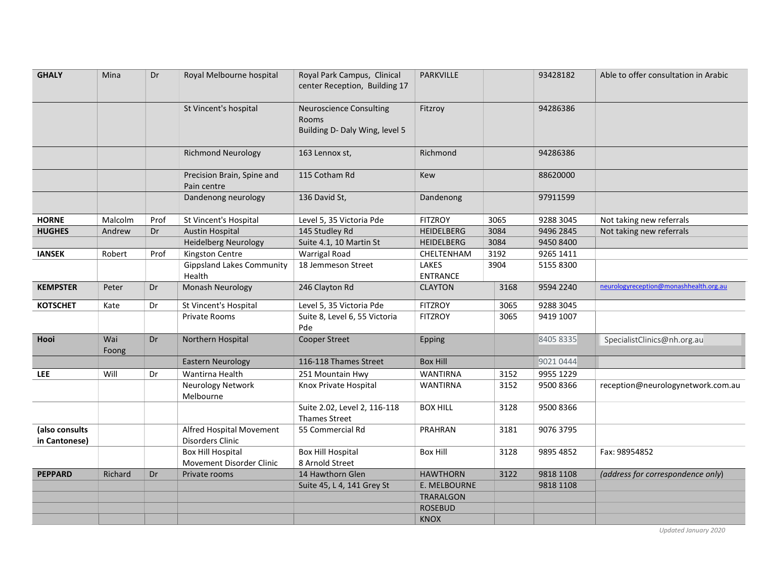| <b>GHALY</b>                    | Mina         | Dr   | Royal Melbourne hospital                     | Royal Park Campus, Clinical<br>center Reception, Building 17                     | <b>PARKVILLE</b>         |      | 93428182  | Able to offer consultation in Arabic   |
|---------------------------------|--------------|------|----------------------------------------------|----------------------------------------------------------------------------------|--------------------------|------|-----------|----------------------------------------|
|                                 |              |      | St Vincent's hospital                        | <b>Neuroscience Consulting</b><br><b>Rooms</b><br>Building D- Daly Wing, level 5 | Fitzroy                  |      | 94286386  |                                        |
|                                 |              |      | <b>Richmond Neurology</b>                    | 163 Lennox st,                                                                   | Richmond                 |      | 94286386  |                                        |
|                                 |              |      | Precision Brain, Spine and<br>Pain centre    | 115 Cotham Rd                                                                    | <b>Kew</b>               |      | 88620000  |                                        |
|                                 |              |      | Dandenong neurology                          | 136 David St,                                                                    | Dandenong                |      | 97911599  |                                        |
| <b>HORNE</b>                    | Malcolm      | Prof | St Vincent's Hospital                        | Level 5, 35 Victoria Pde                                                         | <b>FITZROY</b>           | 3065 | 9288 3045 | Not taking new referrals               |
| <b>HUGHES</b>                   | Andrew       | Dr   | <b>Austin Hospital</b>                       | 145 Studley Rd                                                                   | <b>HEIDELBERG</b>        | 3084 | 9496 2845 | Not taking new referrals               |
|                                 |              |      | <b>Heidelberg Neurology</b>                  | Suite 4.1, 10 Martin St                                                          | <b>HEIDELBERG</b>        | 3084 | 9450 8400 |                                        |
| <b>IANSEK</b>                   | Robert       | Prof | Kingston Centre                              | <b>Warrigal Road</b>                                                             | CHELTENHAM               | 3192 | 9265 1411 |                                        |
|                                 |              |      | <b>Gippsland Lakes Community</b><br>Health   | 18 Jemmeson Street                                                               | LAKES<br><b>ENTRANCE</b> | 3904 | 5155 8300 |                                        |
| <b>KEMPSTER</b>                 | Peter        | Dr   | Monash Neurology                             | 246 Clayton Rd                                                                   | <b>CLAYTON</b>           | 3168 | 9594 2240 | neurologyreception@monashhealth.org.au |
| <b>KOTSCHET</b>                 | Kate         | Dr   | St Vincent's Hospital                        | Level 5, 35 Victoria Pde                                                         | <b>FITZROY</b>           | 3065 | 9288 3045 |                                        |
|                                 |              |      | Private Rooms                                | Suite 8, Level 6, 55 Victoria<br>Pde                                             | <b>FITZROY</b>           | 3065 | 9419 1007 |                                        |
| Hooi                            | Wai<br>Foong | Dr   | Northern Hospital                            | <b>Cooper Street</b>                                                             | Epping                   |      | 8405 8335 | SpecialistClinics@nh.org.au            |
|                                 |              |      | <b>Eastern Neurology</b>                     | 116-118 Thames Street                                                            | <b>Box Hill</b>          |      | 9021 0444 |                                        |
| <b>LEE</b>                      | Will         | Dr   | Wantirna Health                              | 251 Mountain Hwy                                                                 | <b>WANTIRNA</b>          | 3152 | 9955 1229 |                                        |
|                                 |              |      | Neurology Network<br>Melbourne               | Knox Private Hospital                                                            | <b>WANTIRNA</b>          | 3152 | 9500 8366 | reception@neurologynetwork.com.au      |
|                                 |              |      |                                              | Suite 2.02, Level 2, 116-118<br><b>Thames Street</b>                             | <b>BOX HILL</b>          | 3128 | 9500 8366 |                                        |
| (also consults<br>in Cantonese) |              |      | Alfred Hospital Movement<br>Disorders Clinic | 55 Commercial Rd                                                                 | <b>PRAHRAN</b>           | 3181 | 9076 3795 |                                        |
|                                 |              |      | <b>Box Hill Hospital</b>                     | <b>Box Hill Hospital</b>                                                         | <b>Box Hill</b>          | 3128 | 9895 4852 | Fax: 98954852                          |
|                                 |              |      | Movement Disorder Clinic                     | 8 Arnold Street                                                                  |                          |      |           |                                        |
| <b>PEPPARD</b>                  | Richard      | Dr   | Private rooms                                | 14 Hawthorn Glen                                                                 | <b>HAWTHORN</b>          | 3122 | 9818 1108 | (address for correspondence only)      |
|                                 |              |      |                                              | Suite 45, L 4, 141 Grey St                                                       | E. MELBOURNE             |      | 9818 1108 |                                        |
|                                 |              |      |                                              |                                                                                  | TRARALGON                |      |           |                                        |
|                                 |              |      |                                              |                                                                                  | <b>ROSEBUD</b>           |      |           |                                        |
|                                 |              |      |                                              |                                                                                  | <b>KNOX</b>              |      |           |                                        |

Updated January 2020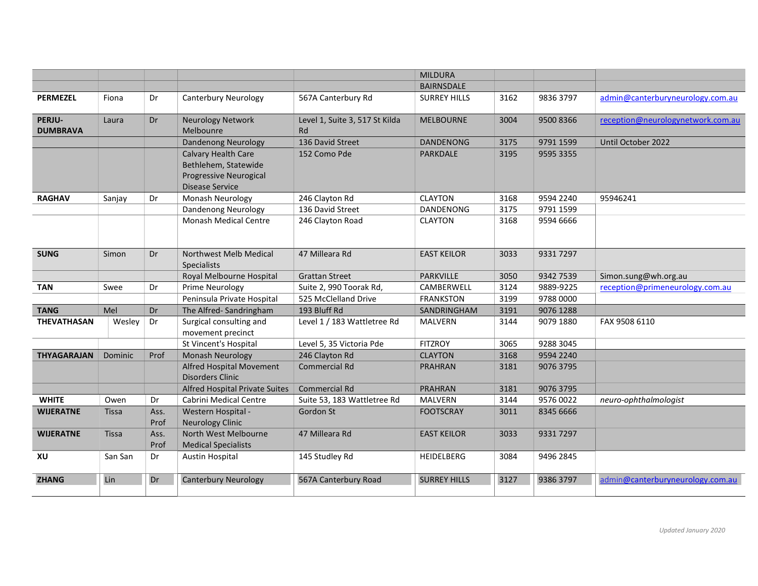|                           |              |      |                                                     |                                      | <b>MILDURA</b>      |      |           |                                   |
|---------------------------|--------------|------|-----------------------------------------------------|--------------------------------------|---------------------|------|-----------|-----------------------------------|
|                           |              |      |                                                     |                                      | <b>BAIRNSDALE</b>   |      |           |                                   |
| <b>PERMEZEL</b>           | Fiona        | Dr   | Canterbury Neurology                                | 567A Canterbury Rd                   | <b>SURREY HILLS</b> | 3162 | 9836 3797 | admin@canterburyneurology.com.au  |
| PERJU-<br><b>DUMBRAVA</b> | Laura        | Dr   | <b>Neurology Network</b><br>Melbounre               | Level 1, Suite 3, 517 St Kilda<br>Rd | <b>MELBOURNE</b>    | 3004 | 9500 8366 | reception@neurologynetwork.com.au |
|                           |              |      | <b>Dandenong Neurology</b>                          | 136 David Street                     | <b>DANDENONG</b>    | 3175 | 9791 1599 | Until October 2022                |
|                           |              |      | Calvary Health Care                                 | 152 Como Pde                         | <b>PARKDALE</b>     | 3195 | 9595 3355 |                                   |
|                           |              |      | Bethlehem, Statewide                                |                                      |                     |      |           |                                   |
|                           |              |      | <b>Progressive Neurogical</b>                       |                                      |                     |      |           |                                   |
|                           |              |      | <b>Disease Service</b>                              |                                      |                     |      |           |                                   |
| <b>RAGHAV</b>             | Sanjay       | Dr   | Monash Neurology                                    | 246 Clayton Rd                       | <b>CLAYTON</b>      | 3168 | 9594 2240 | 95946241                          |
|                           |              |      | Dandenong Neurology                                 | 136 David Street                     | <b>DANDENONG</b>    | 3175 | 9791 1599 |                                   |
|                           |              |      | <b>Monash Medical Centre</b>                        | 246 Clayton Road                     | <b>CLAYTON</b>      | 3168 | 9594 6666 |                                   |
| <b>SUNG</b>               | Simon        | Dr   | Northwest Melb Medical<br>Specialists               | 47 Milleara Rd                       | <b>EAST KEILOR</b>  | 3033 | 9331 7297 |                                   |
|                           |              |      | Royal Melbourne Hospital                            | <b>Grattan Street</b>                | <b>PARKVILLE</b>    | 3050 | 9342 7539 | Simon.sung@wh.org.au              |
| <b>TAN</b>                | Swee         | Dr   | Prime Neurology                                     | Suite 2, 990 Toorak Rd,              | CAMBERWELL          | 3124 | 9889-9225 | reception@primeneurology.com.au   |
|                           |              |      | Peninsula Private Hospital                          | 525 McClelland Drive                 | <b>FRANKSTON</b>    | 3199 | 9788 0000 |                                   |
| <b>TANG</b>               | Mel          | Dr   | The Alfred-Sandringham                              | 193 Bluff Rd                         | SANDRINGHAM         | 3191 | 9076 1288 |                                   |
| <b>THEVATHASAN</b>        | Wesley       | Dr   | Surgical consulting and<br>movement precinct        | Level 1 / 183 Wattletree Rd          | <b>MALVERN</b>      | 3144 | 9079 1880 | FAX 9508 6110                     |
|                           |              |      | St Vincent's Hospital                               | Level 5, 35 Victoria Pde             | <b>FITZROY</b>      | 3065 | 9288 3045 |                                   |
| <b>THYAGARAJAN</b>        | Dominic      | Prof | Monash Neurology                                    | 246 Clayton Rd                       | <b>CLAYTON</b>      | 3168 | 9594 2240 |                                   |
|                           |              |      | Alfred Hospital Movement<br><b>Disorders Clinic</b> | <b>Commercial Rd</b>                 | <b>PRAHRAN</b>      | 3181 | 9076 3795 |                                   |
|                           |              |      | Alfred Hospital Private Suites                      | <b>Commercial Rd</b>                 | <b>PRAHRAN</b>      | 3181 | 9076 3795 |                                   |
| <b>WHITE</b>              | Owen         | Dr   | Cabrini Medical Centre                              | Suite 53, 183 Wattletree Rd          | MALVERN             | 3144 | 9576 0022 | neuro-ophthalmologist             |
| <b>WIJERATNE</b>          | <b>Tissa</b> | Ass. | Western Hospital -                                  | Gordon St                            | <b>FOOTSCRAY</b>    | 3011 | 8345 6666 |                                   |
|                           |              | Prof | <b>Neurology Clinic</b>                             |                                      |                     |      |           |                                   |
| <b>WIJERATNE</b>          | <b>Tissa</b> | Ass. | North West Melbourne                                | 47 Milleara Rd                       | <b>EAST KEILOR</b>  | 3033 | 9331 7297 |                                   |
|                           |              | Prof | <b>Medical Specialists</b>                          |                                      |                     |      |           |                                   |
| XU                        | San San      | Dr   | <b>Austin Hospital</b>                              | 145 Studley Rd                       | <b>HEIDELBERG</b>   | 3084 | 9496 2845 |                                   |
| <b>ZHANG</b>              | Lin          | Dr   | <b>Canterbury Neurology</b>                         | 567A Canterbury Road                 | <b>SURREY HILLS</b> | 3127 | 9386 3797 | admin@canterburyneurology.com.au  |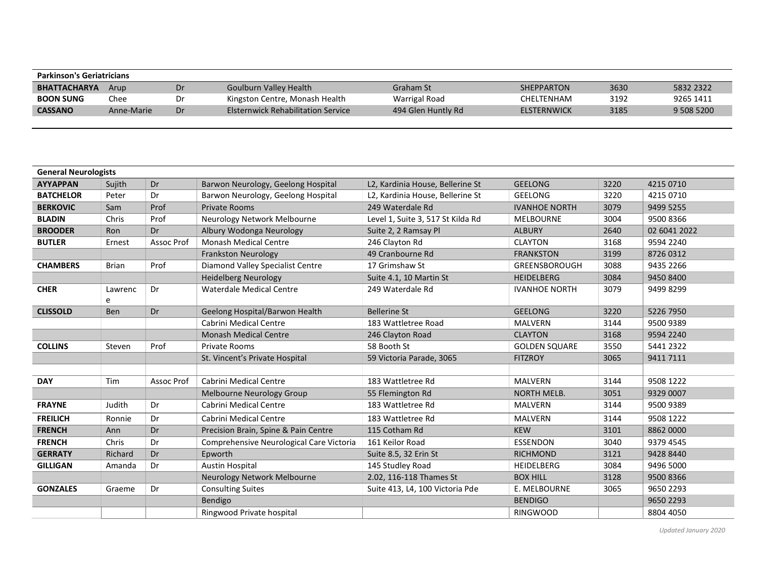| <b>Parkinson's Geriatricians</b> |            |    |                                           |                    |                    |      |            |
|----------------------------------|------------|----|-------------------------------------------|--------------------|--------------------|------|------------|
| <b>BHATTACHARYA</b>              | Arup       | Dr | Goulburn Valley Health                    | Graham St          | <b>SHEPPARTON</b>  | 3630 | 5832 2322  |
| <b>BOON SUNG</b>                 | Chee       | Dr | Kingston Centre, Monash Health            | Warrigal Road      | <b>CHELTENHAM</b>  | 3192 | 9265 1411  |
| <b>CASSANO</b>                   | Anne-Marie | Dr | <b>Elsternwick Rehabilitation Service</b> | 494 Glen Huntly Rd | <b>ELSTERNWICK</b> | 3185 | 9 508 5200 |

| <b>General Neurologists</b> |              |            |                                          |                                   |                      |      |              |
|-----------------------------|--------------|------------|------------------------------------------|-----------------------------------|----------------------|------|--------------|
| <b>AYYAPPAN</b>             | Sujith       | Dr         | Barwon Neurology, Geelong Hospital       | L2, Kardinia House, Bellerine St  | <b>GEELONG</b>       | 3220 | 4215 0710    |
| <b>BATCHELOR</b>            | Peter        | Dr         | Barwon Neurology, Geelong Hospital       | L2, Kardinia House, Bellerine St  | <b>GEELONG</b>       | 3220 | 4215 0710    |
| <b>BERKOVIC</b>             | Sam          | Prof       | <b>Private Rooms</b>                     | 249 Waterdale Rd                  | <b>IVANHOE NORTH</b> | 3079 | 9499 5255    |
| <b>BLADIN</b>               | Chris        | Prof       | Neurology Network Melbourne              | Level 1, Suite 3, 517 St Kilda Rd | <b>MELBOURNE</b>     | 3004 | 9500 8366    |
| <b>BROODER</b>              | Ron          | Dr         | Albury Wodonga Neurology                 | Suite 2, 2 Ramsay Pl              | <b>ALBURY</b>        | 2640 | 02 6041 2022 |
| <b>BUTLER</b>               | Ernest       | Assoc Prof | <b>Monash Medical Centre</b>             | 246 Clayton Rd                    | <b>CLAYTON</b>       | 3168 | 9594 2240    |
|                             |              |            | <b>Frankston Neurology</b>               | 49 Cranbourne Rd                  | <b>FRANKSTON</b>     | 3199 | 8726 0312    |
| <b>CHAMBERS</b>             | <b>Brian</b> | Prof       | Diamond Valley Specialist Centre         | 17 Grimshaw St                    | <b>GREENSBOROUGH</b> | 3088 | 9435 2266    |
|                             |              |            | <b>Heidelberg Neurology</b>              | Suite 4.1, 10 Martin St           | <b>HEIDELBERG</b>    | 3084 | 9450 8400    |
| <b>CHER</b>                 | Lawrenc<br>e | Dr         | <b>Waterdale Medical Centre</b>          | 249 Waterdale Rd                  | <b>IVANHOE NORTH</b> | 3079 | 9499 8299    |
| <b>CLISSOLD</b>             | Ben          | Dr         | Geelong Hospital/Barwon Health           | <b>Bellerine St</b>               | <b>GEELONG</b>       | 3220 | 5226 7950    |
|                             |              |            | Cabrini Medical Centre                   | 183 Wattletree Road               | <b>MALVERN</b>       | 3144 | 9500 9389    |
|                             |              |            | <b>Monash Medical Centre</b>             | 246 Clayton Road                  | <b>CLAYTON</b>       | 3168 | 9594 2240    |
| <b>COLLINS</b>              | Steven       | Prof       | <b>Private Rooms</b>                     | 58 Booth St                       | <b>GOLDEN SQUARE</b> | 3550 | 5441 2322    |
|                             |              |            | St. Vincent's Private Hospital           | 59 Victoria Parade, 3065          | <b>FITZROY</b>       | 3065 | 9411 7111    |
|                             |              |            |                                          |                                   |                      |      |              |
| <b>DAY</b>                  | Tim          | Assoc Prof | <b>Cabrini Medical Centre</b>            | 183 Wattletree Rd                 | <b>MALVERN</b>       | 3144 | 9508 1222    |
|                             |              |            | <b>Melbourne Neurology Group</b>         | 55 Flemington Rd                  | <b>NORTH MELB.</b>   | 3051 | 9329 0007    |
| <b>FRAYNE</b>               | Judith       | Dr         | Cabrini Medical Centre                   | 183 Wattletree Rd                 | <b>MALVERN</b>       | 3144 | 9500 9389    |
| <b>FREILICH</b>             | Ronnie       | Dr         | Cabrini Medical Centre                   | 183 Wattletree Rd                 | <b>MALVERN</b>       | 3144 | 9508 1222    |
| <b>FRENCH</b>               | Ann          | Dr         | Precision Brain, Spine & Pain Centre     | 115 Cotham Rd                     | <b>KEW</b>           | 3101 | 8862 0000    |
| <b>FRENCH</b>               | Chris        | Dr         | Comprehensive Neurological Care Victoria | 161 Keilor Road                   | <b>ESSENDON</b>      | 3040 | 9379 4545    |
| <b>GERRATY</b>              | Richard      | Dr         | Epworth                                  | Suite 8.5, 32 Erin St             | <b>RICHMOND</b>      | 3121 | 9428 8440    |
| <b>GILLIGAN</b>             | Amanda       | Dr         | <b>Austin Hospital</b>                   | 145 Studley Road                  | HEIDELBERG           | 3084 | 9496 5000    |
|                             |              |            | Neurology Network Melbourne              | 2.02, 116-118 Thames St           | <b>BOX HILL</b>      | 3128 | 9500 8366    |
| <b>GONZALES</b>             | Graeme       | Dr         | <b>Consulting Suites</b>                 | Suite 413, L4, 100 Victoria Pde   | E. MELBOURNE         | 3065 | 9650 2293    |
|                             |              |            | Bendigo                                  |                                   | <b>BENDIGO</b>       |      | 9650 2293    |
|                             |              |            | Ringwood Private hospital                |                                   | <b>RINGWOOD</b>      |      | 8804 4050    |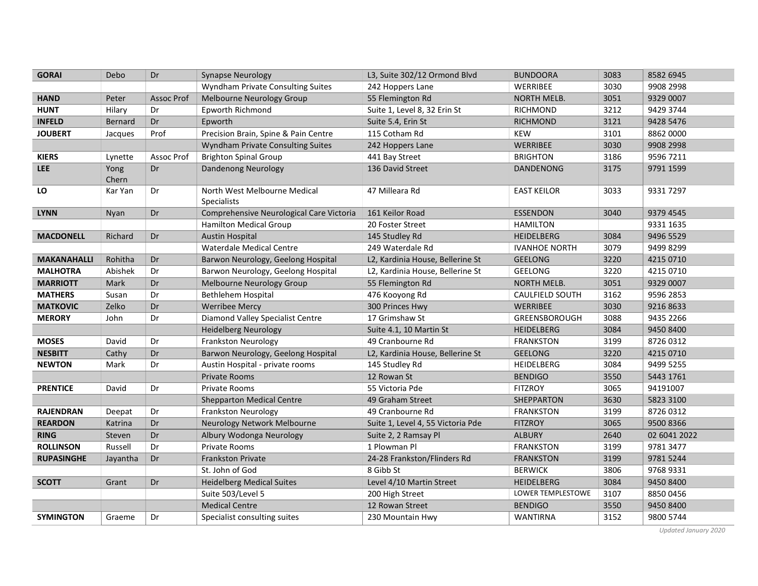| <b>GORAI</b>       | Debo          | Dr         | <b>Synapse Neurology</b>                           | L3, Suite 302/12 Ormond Blvd      | <b>BUNDOORA</b>        | 3083 | 8582 6945    |
|--------------------|---------------|------------|----------------------------------------------------|-----------------------------------|------------------------|------|--------------|
|                    |               |            | Wyndham Private Consulting Suites                  | 242 Hoppers Lane                  | WERRIBEE               | 3030 | 9908 2998    |
| <b>HAND</b>        | Peter         | Assoc Prof | Melbourne Neurology Group                          | 55 Flemington Rd                  | <b>NORTH MELB.</b>     | 3051 | 9329 0007    |
| <b>HUNT</b>        | Hilary        | Dr         | Epworth Richmond                                   | Suite 1, Level 8, 32 Erin St      | <b>RICHMOND</b>        | 3212 | 9429 3744    |
| <b>INFELD</b>      | Bernard       | Dr         | Epworth                                            | Suite 5.4, Erin St                | <b>RICHMOND</b>        | 3121 | 9428 5476    |
| <b>JOUBERT</b>     | Jacques       | Prof       | Precision Brain, Spine & Pain Centre               | 115 Cotham Rd                     | <b>KEW</b>             | 3101 | 8862 0000    |
|                    |               |            | Wyndham Private Consulting Suites                  | 242 Hoppers Lane                  | <b>WERRIBEE</b>        | 3030 | 9908 2998    |
| <b>KIERS</b>       | Lynette       | Assoc Prof | <b>Brighton Spinal Group</b>                       | 441 Bay Street                    | <b>BRIGHTON</b>        | 3186 | 9596 7211    |
| <b>LEE</b>         | Yong<br>Chern | Dr         | <b>Dandenong Neurology</b>                         | 136 David Street                  | <b>DANDENONG</b>       | 3175 | 9791 1599    |
| LO                 | Kar Yan       | Dr         | North West Melbourne Medical<br><b>Specialists</b> | 47 Milleara Rd                    | <b>EAST KEILOR</b>     | 3033 | 9331 7297    |
| <b>LYNN</b>        | Nyan          | Dr         | Comprehensive Neurological Care Victoria           | 161 Keilor Road                   | <b>ESSENDON</b>        | 3040 | 9379 4545    |
|                    |               |            | Hamilton Medical Group                             | 20 Foster Street                  | <b>HAMILTON</b>        |      | 9331 1635    |
| <b>MACDONELL</b>   | Richard       | Dr         | <b>Austin Hospital</b>                             | 145 Studley Rd                    | <b>HEIDELBERG</b>      | 3084 | 9496 5529    |
|                    |               |            | <b>Waterdale Medical Centre</b>                    | 249 Waterdale Rd                  | <b>IVANHOE NORTH</b>   | 3079 | 9499 8299    |
| <b>MAKANAHALLI</b> | Rohitha       | Dr         | Barwon Neurology, Geelong Hospital                 | L2, Kardinia House, Bellerine St  | <b>GEELONG</b>         | 3220 | 4215 0710    |
| <b>MALHOTRA</b>    | Abishek       | Dr         | Barwon Neurology, Geelong Hospital                 | L2, Kardinia House, Bellerine St  | <b>GEELONG</b>         | 3220 | 4215 0710    |
| <b>MARRIOTT</b>    | Mark          | Dr         | Melbourne Neurology Group                          | 55 Flemington Rd                  | <b>NORTH MELB.</b>     | 3051 | 9329 0007    |
| <b>MATHERS</b>     | Susan         | Dr         | Bethlehem Hospital                                 | 476 Kooyong Rd                    | <b>CAULFIELD SOUTH</b> | 3162 | 9596 2853    |
| <b>MATKOVIC</b>    | Zelko         | Dr         | <b>Werribee Mercy</b>                              | 300 Princes Hwy                   | <b>WERRIBEE</b>        | 3030 | 9216 8633    |
| <b>MERORY</b>      | John          | Dr         | Diamond Valley Specialist Centre                   | 17 Grimshaw St                    | GREENSBOROUGH          | 3088 | 9435 2266    |
|                    |               |            | <b>Heidelberg Neurology</b>                        | Suite 4.1, 10 Martin St           | <b>HEIDELBERG</b>      | 3084 | 9450 8400    |
| <b>MOSES</b>       | David         | Dr         | Frankston Neurology                                | 49 Cranbourne Rd                  | <b>FRANKSTON</b>       | 3199 | 8726 0312    |
| <b>NESBITT</b>     | Cathy         | Dr         | Barwon Neurology, Geelong Hospital                 | L2, Kardinia House, Bellerine St  | <b>GEELONG</b>         | 3220 | 4215 0710    |
| <b>NEWTON</b>      | Mark          | Dr         | Austin Hospital - private rooms                    | 145 Studley Rd                    | HEIDELBERG             | 3084 | 9499 5255    |
|                    |               |            | Private Rooms                                      | 12 Rowan St                       | <b>BENDIGO</b>         | 3550 | 5443 1761    |
| <b>PRENTICE</b>    | David         | Dr         | Private Rooms                                      | 55 Victoria Pde                   | <b>FITZROY</b>         | 3065 | 94191007     |
|                    |               |            | <b>Shepparton Medical Centre</b>                   | 49 Graham Street                  | <b>SHEPPARTON</b>      | 3630 | 5823 3100    |
| <b>RAJENDRAN</b>   | Deepat        | Dr         | <b>Frankston Neurology</b>                         | 49 Cranbourne Rd                  | <b>FRANKSTON</b>       | 3199 | 8726 0312    |
| <b>REARDON</b>     | Katrina       | Dr         | Neurology Network Melbourne                        | Suite 1, Level 4, 55 Victoria Pde | <b>FITZROY</b>         | 3065 | 9500 8366    |
| <b>RING</b>        | Steven        | Dr         | Albury Wodonga Neurology                           | Suite 2, 2 Ramsay Pl              | <b>ALBURY</b>          | 2640 | 02 6041 2022 |
| <b>ROLLINSON</b>   | Russell       | Dr         | Private Rooms                                      | 1 Plowman Pl                      | <b>FRANKSTON</b>       | 3199 | 9781 3477    |
| <b>RUPASINGHE</b>  | Jayantha      | Dr         | <b>Frankston Private</b>                           | 24-28 Frankston/Flinders Rd       | <b>FRANKSTON</b>       | 3199 | 9781 5244    |
|                    |               |            | St. John of God                                    | 8 Gibb St                         | <b>BERWICK</b>         | 3806 | 9768 9331    |
| <b>SCOTT</b>       | Grant         | Dr         | <b>Heidelberg Medical Suites</b>                   | Level 4/10 Martin Street          | <b>HEIDELBERG</b>      | 3084 | 9450 8400    |
|                    |               |            | Suite 503/Level 5                                  | 200 High Street                   | LOWER TEMPLESTOWE      | 3107 | 8850 0456    |
|                    |               |            | <b>Medical Centre</b>                              | 12 Rowan Street                   | <b>BENDIGO</b>         | 3550 | 9450 8400    |
| <b>SYMINGTON</b>   | Graeme        | Dr         | Specialist consulting suites                       | 230 Mountain Hwy                  | <b>WANTIRNA</b>        | 3152 | 9800 5744    |